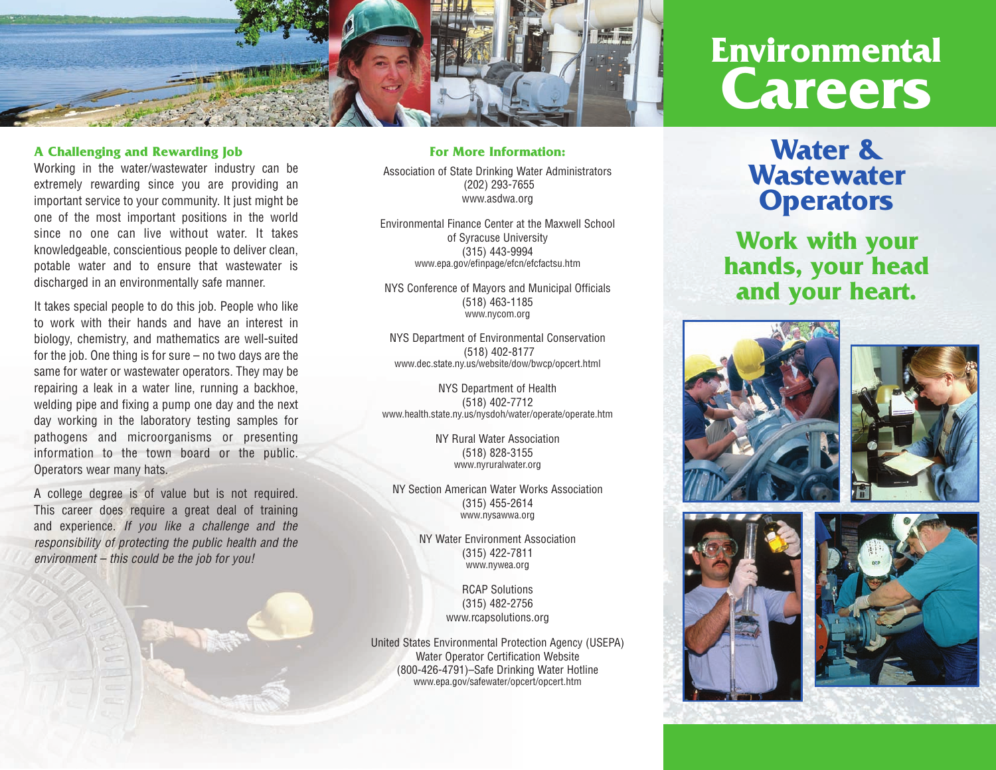

#### **A Challenging and Rewarding Job**

Working in the water/wastewater industry can be extremely rewarding since you are providing an important service to your community. It just might be one of the most important positions in the world since no one can live without water. It takes knowledgeable, conscientious people to deliver clean, potable water and to ensure that wastewater is discharged in an environmentally safe manner.

It takes special people to do this job. People who like to work with their hands and have an interest in biology, chemistry, and mathematics are well-suited for the job. One thing is for sure – no two days are the same for water or wastewater operators. They may be repairing a leak in a water line, running a backhoe, welding pipe and fixing a pump one day and the next day working in the laboratory testing samples for pathogens and microorganisms or presenting information to the town board or the public. Operators wear many hats.

A college degree is of value but is not required. This career does require a great deal of training and experience. *If you like a challenge and the responsibility of protecting the public health and the environment – this could be the job for you!*

#### **For More Information:**

Association of State Drinking Water Administrators (202) 293-7655 www.asdwa.org

Environmental Finance Center at the Maxwell School of Syracuse University (315) 443-9994 www.epa.gov/efinpage/efcn/efcfactsu.htm

NYS Conference of Mayors and Municipal Officials (518) 463-1185 www.nycom.org

NYS Department of Environmental Conservation (518) 402-8177 www.dec.state.ny.us/website/dow/bwcp/opcert.html

NYS Department of Health (518) 402-7712 www.health.state.ny.us/nysdoh/water/operate/operate.htm

> NY Rural Water Association (518) 828-3155 www.nyruralwater.org

NY Section American Water Works Association (315) 455-2614 www.nysawwa.org

> NY Water Environment Association (315) 422-7811 www.nywea.org

> > RCAP Solutions (315) 482-2756 www.rcapsolutions.org

United States Environmental Protection Agency (USEPA) Water Operator Certification Website (800-426-4791)–Safe Drinking Water Hotline www.epa.gov/safewater/opcert/opcert.htm

# **Environmental Careers**

## **Water & Wastewater Operators**

**Work with your hands, your head and your heart.**